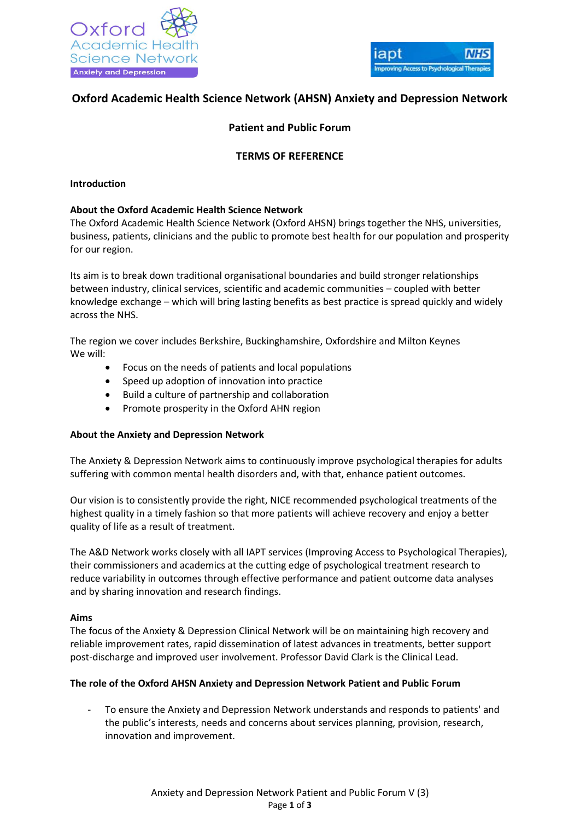



# **Oxford Academic Health Science Network (AHSN) Anxiety and Depression Network**

# **Patient and Public Forum**

## **TERMS OF REFERENCE**

#### **Introduction**

#### **About the Oxford Academic Health Science Network**

The Oxford Academic Health Science Network (Oxford AHSN) brings together the NHS, universities, business, patients, clinicians and the public to promote best health for our population and prosperity for our region.

Its aim is to break down traditional organisational boundaries and build stronger relationships between industry, clinical services, scientific and academic communities – coupled with better knowledge exchange – which will bring lasting benefits as best practice is spread quickly and widely across the NHS.

The region we cover includes Berkshire, Buckinghamshire, Oxfordshire and Milton Keynes We will:

- Focus on the needs of patients and local populations
- Speed up adoption of innovation into practice
- Build a culture of partnership and collaboration
- Promote prosperity in the Oxford AHN region

### **About the Anxiety and Depression Network**

The Anxiety & Depression Network aims to continuously improve psychological therapies for adults suffering with common mental health disorders and, with that, enhance patient outcomes.

Our vision is to consistently provide the right, NICE recommended psychological treatments of the highest quality in a timely fashion so that more patients will achieve recovery and enjoy a better quality of life as a result of treatment.

The A&D Network works closely with all IAPT services (Improving Access to Psychological Therapies), their commissioners and academics at the cutting edge of psychological treatment research to reduce variability in outcomes through effective performance and patient outcome data analyses and by sharing innovation and research findings.

#### **Aims**

The focus of the Anxiety & Depression Clinical Network will be on maintaining high recovery and reliable improvement rates, rapid dissemination of latest advances in treatments, better support post-discharge and improved user involvement. Professor David Clark is the Clinical Lead.

### **The role of the Oxford AHSN Anxiety and Depression Network Patient and Public Forum**

- To ensure the Anxiety and Depression Network understands and responds to patients' and the public's interests, needs and concerns about services planning, provision, research, innovation and improvement.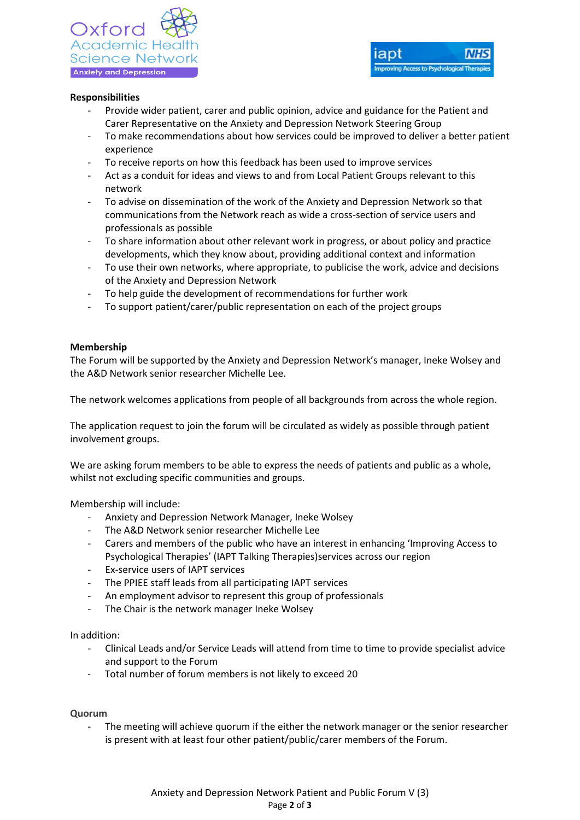### **Responsibilities**

- Provide wider patient, carer and public opinion, advice and guidance for the Patient and Carer Representative on the Anxiety and Depression Network Steering Group
- To make recommendations about how services could be improved to deliver a better patient experience
- To receive reports on how this feedback has been used to improve services
- Act as a conduit for ideas and views to and from Local Patient Groups relevant to this network
- To advise on dissemination of the work of the Anxiety and Depression Network so that communications from the Network reach as wide a cross-section of service users and professionals as possible
- To share information about other relevant work in progress, or about policy and practice developments, which they know about, providing additional context and information
- To use their own networks, where appropriate, to publicise the work, advice and decisions of the Anxiety and Depression Network
- To help guide the development of recommendations for further work
- To support patient/carer/public representation on each of the project groups

### **Membership**

The Forum will be supported by the Anxiety and Depression Network's manager, Ineke Wolsey and the A&D Network senior researcher Michelle Lee.

The network welcomes applications from people of all backgrounds from across the whole region.

The application request to join the forum will be circulated as widely as possible through patient involvement groups.

We are asking forum members to be able to express the needs of patients and public as a whole, whilst not excluding specific communities and groups.

Membership will include:

- Anxiety and Depression Network Manager, Ineke Wolsey
- The A&D Network senior researcher Michelle Lee
- Carers and members of the public who have an interest in enhancing 'Improving Access to Psychological Therapies' (IAPT Talking Therapies)services across our region
- Ex-service users of IAPT services
- The PPIEE staff leads from all participating IAPT services
- An employment advisor to represent this group of professionals
- The Chair is the network manager Ineke Wolsey

In addition:

- Clinical Leads and/or Service Leads will attend from time to time to provide specialist advice and support to the Forum
- Total number of forum members is not likely to exceed 20

### **Quorum**

The meeting will achieve quorum if the either the network manager or the senior researcher is present with at least four other patient/public/carer members of the Forum.